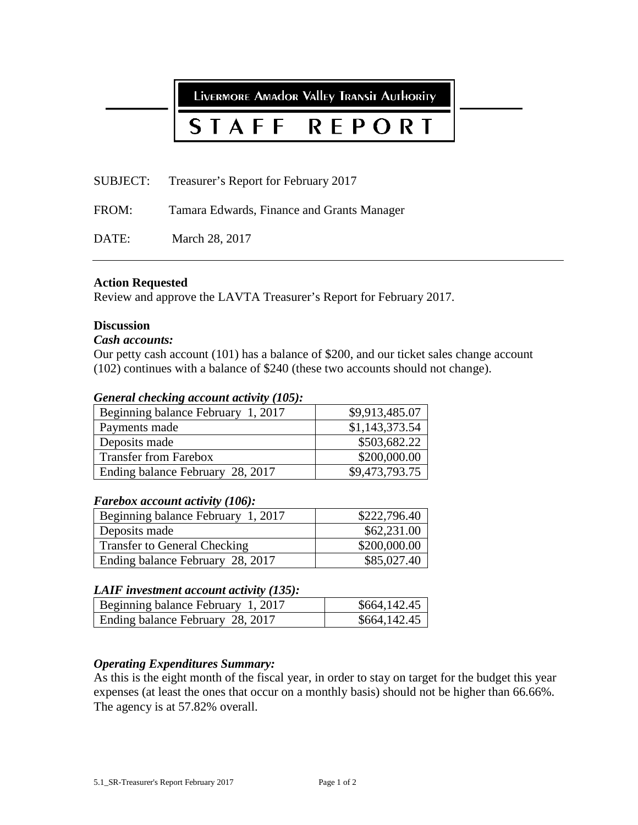LIVERMORE AMAdor Valley TRANSIT AUTHORITY

# STAFF **REPORT**

SUBJECT: Treasurer's Report for February 2017

FROM: Tamara Edwards, Finance and Grants Manager

DATE: March 28, 2017

# **Action Requested**

Review and approve the LAVTA Treasurer's Report for February 2017.

# **Discussion**

# *Cash accounts:*

Our petty cash account (101) has a balance of \$200, and our ticket sales change account (102) continues with a balance of \$240 (these two accounts should not change).

# *General checking account activity (105):*

| Beginning balance February 1, 2017 | \$9,913,485.07 |
|------------------------------------|----------------|
| Payments made                      | \$1,143,373.54 |
| Deposits made                      | \$503,682.22   |
| <b>Transfer from Farebox</b>       | \$200,000.00   |
| Ending balance February 28, 2017   | \$9,473,793.75 |

# *Farebox account activity (106):*

| Beginning balance February 1, 2017  | \$222,796.40 |
|-------------------------------------|--------------|
| Deposits made                       | \$62,231.00  |
| <b>Transfer to General Checking</b> | \$200,000.00 |
| Ending balance February 28, 2017    | \$85,027.40  |

# *LAIF investment account activity (135):*

| Beginning balance February 1, 2017 | \$664,142.45 |
|------------------------------------|--------------|
| Ending balance February 28, 2017   | \$664,142.45 |

# *Operating Expenditures Summary:*

As this is the eight month of the fiscal year, in order to stay on target for the budget this year expenses (at least the ones that occur on a monthly basis) should not be higher than 66.66%. The agency is at 57.82% overall.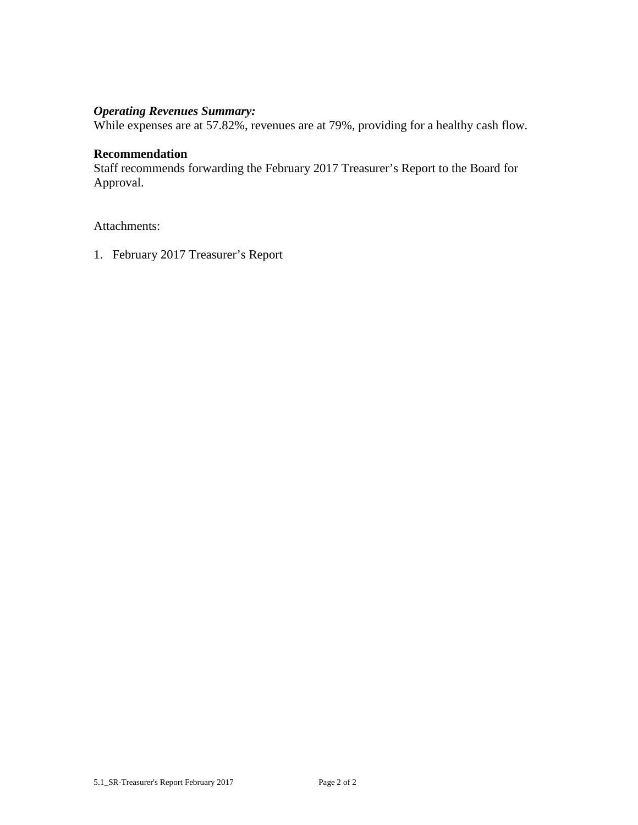# *Operating Revenues Summary:*

While expenses are at 57.82%, revenues are at 79%, providing for a healthy cash flow.

# **Recommendation**

Staff recommends forwarding the February 2017 Treasurer's Report to the Board for Approval.

Attachments:

1. February 2017 Treasurer's Report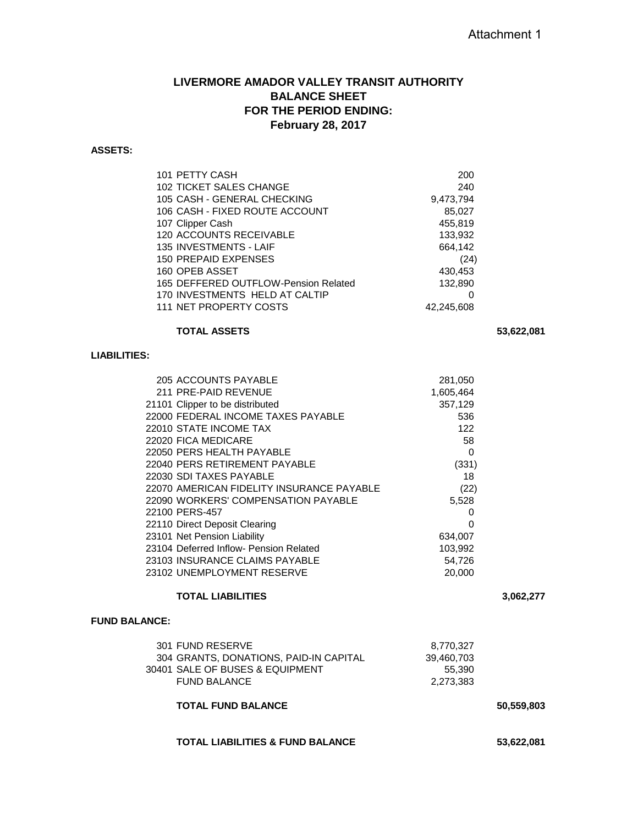# **LIVERMORE AMADOR VALLEY TRANSIT AUTHORITY BALANCE SHEET FOR THE PERIOD ENDING: February 28, 2017**

# **ASSETS:**

| 101 PETTY CASH                       | 200        |
|--------------------------------------|------------|
|                                      |            |
| <b>102 TICKET SALES CHANGE</b>       | 240        |
| 105 CASH - GENERAL CHECKING          | 9,473,794  |
| 106 CASH - FIXED ROUTE ACCOUNT       | 85,027     |
| 107 Clipper Cash                     | 455,819    |
| 120 ACCOUNTS RECEIVABLE              | 133.932    |
| 135 INVESTMENTS - LAIF               | 664,142    |
| <b>150 PREPAID EXPENSES</b>          | (24)       |
| 160 OPEB ASSET                       | 430,453    |
| 165 DEFFERED OUTFLOW-Pension Related | 132.890    |
| 170 INVESTMENTS HELD AT CALTIP       | O          |
| 111 NET PROPERTY COSTS               | 42,245,608 |
|                                      |            |

### **TOTAL ASSETS 53,622,081**

### **LIABILITIES:**

| 205 ACCOUNTS PAYABLE                      | 281,050   |
|-------------------------------------------|-----------|
| 211 PRE-PAID REVENUE                      | 1,605,464 |
| 21101 Clipper to be distributed           | 357,129   |
| 22000 FEDERAL INCOME TAXES PAYABLE        | 536       |
| 22010 STATE INCOME TAX                    | 122       |
| 22020 FICA MEDICARE                       | 58        |
| 22050 PERS HEALTH PAYABLE                 | 0         |
| 22040 PERS RETIREMENT PAYABLE             | (331)     |
| 22030 SDI TAXES PAYABLE                   | 18        |
| 22070 AMERICAN FIDELITY INSURANCE PAYABLE | (22)      |
| 22090 WORKERS' COMPENSATION PAYABLE       | 5,528     |
| 22100 PERS-457                            | 0         |
| 22110 Direct Deposit Clearing             | 0         |
| 23101 Net Pension Liability               | 634,007   |
| 23104 Deferred Inflow- Pension Related    | 103,992   |
| 23103 INSURANCE CLAIMS PAYABLE            | 54,726    |
| 23102 UNEMPLOYMENT RESERVE                | 20,000    |
|                                           |           |

# **TOTAL LIABILITIES 3,062,277**

#### **FUND BALANCE:**

| 301 FUND RESERVE                       | 8.770.327  |
|----------------------------------------|------------|
| 304 GRANTS, DONATIONS, PAID-IN CAPITAL | 39,460,703 |
| 30401 SALE OF BUSES & EQUIPMENT        | 55.390     |
| <b>FUND BALANCE</b>                    | 2,273,383  |
|                                        |            |

## **TOTAL FUND BALANCE 50,559,803**

## **TOTAL LIABILITIES & FUND BALANCE 53,622,081**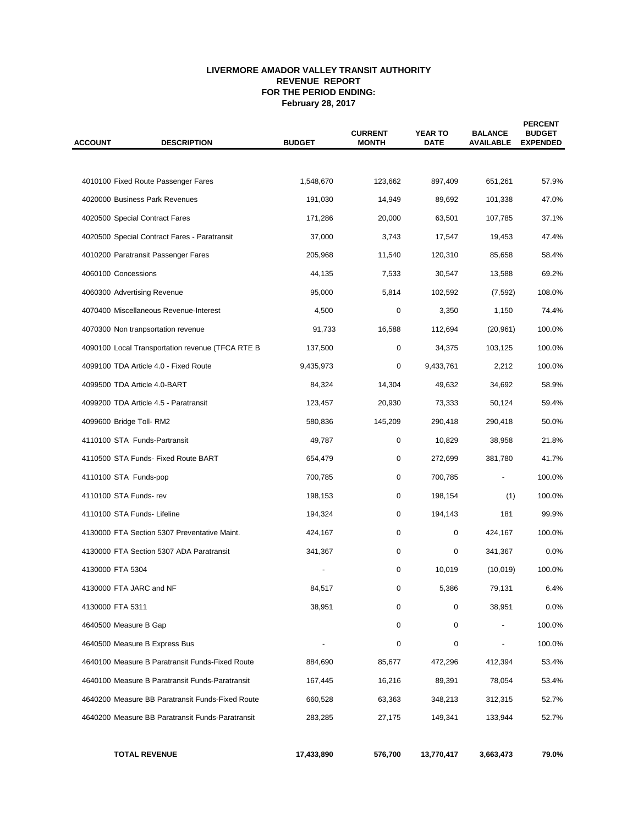#### **LIVERMORE AMADOR VALLEY TRANSIT AUTHORITY REVENUE REPORT FOR THE PERIOD ENDING: February 28, 2017**

| <b>ACCOUNT</b> | <b>DESCRIPTION</b><br><b>BUDGET</b>              |            | <b>CURRENT</b><br><b>MONTH</b> | <b>YEAR TO</b><br><b>DATE</b> | <b>BALANCE</b><br><b>AVAILABLE</b> | <b>PERCENT</b><br><b>BUDGET</b><br><b>EXPENDED</b> |  |
|----------------|--------------------------------------------------|------------|--------------------------------|-------------------------------|------------------------------------|----------------------------------------------------|--|
|                |                                                  |            |                                |                               |                                    |                                                    |  |
|                | 4010100 Fixed Route Passenger Fares              | 1,548,670  | 123,662                        | 897,409                       | 651,261                            | 57.9%                                              |  |
|                | 4020000 Business Park Revenues                   | 191,030    | 14,949                         | 89,692                        | 101,338                            | 47.0%                                              |  |
|                | 4020500 Special Contract Fares                   | 171,286    | 20,000                         | 63,501                        | 107,785                            | 37.1%                                              |  |
|                | 4020500 Special Contract Fares - Paratransit     | 37,000     | 3,743                          | 17,547                        | 19,453                             | 47.4%                                              |  |
|                | 4010200 Paratransit Passenger Fares              | 205,968    | 11,540                         | 120,310                       | 85,658                             | 58.4%                                              |  |
|                | 4060100 Concessions                              | 44,135     | 7,533                          | 30,547                        | 13,588                             | 69.2%                                              |  |
|                | 4060300 Advertising Revenue                      | 95,000     | 5,814                          | 102,592                       | (7, 592)                           | 108.0%                                             |  |
|                | 4070400 Miscellaneous Revenue-Interest           | 4,500      | 0                              | 3,350                         | 1,150                              | 74.4%                                              |  |
|                | 4070300 Non tranpsortation revenue               | 91,733     | 16,588                         | 112,694                       | (20, 961)                          | 100.0%                                             |  |
|                | 4090100 Local Transportation revenue (TFCA RTE B | 137,500    | 0                              | 34,375                        | 103,125                            | 100.0%                                             |  |
|                | 4099100 TDA Article 4.0 - Fixed Route            | 9,435,973  | 0                              | 9,433,761                     | 2,212                              | 100.0%                                             |  |
|                | 4099500 TDA Article 4.0-BART                     | 84,324     | 14,304                         | 49,632                        | 34,692                             | 58.9%                                              |  |
|                | 4099200 TDA Article 4.5 - Paratransit            | 123,457    | 20,930                         | 73,333                        | 50,124                             | 59.4%                                              |  |
|                | 4099600 Bridge Toll-RM2                          | 580,836    | 145,209                        | 290,418                       | 290,418                            | 50.0%                                              |  |
|                | 4110100 STA Funds-Partransit                     | 49,787     | 0                              | 10,829                        | 38,958                             | 21.8%                                              |  |
|                | 4110500 STA Funds- Fixed Route BART              | 654,479    | 0                              | 272,699                       | 381,780                            | 41.7%                                              |  |
|                | 4110100 STA Funds-pop                            | 700,785    | 0                              | 700,785                       |                                    | 100.0%                                             |  |
|                | 4110100 STA Funds-rev                            | 198,153    | 0                              | 198,154                       | (1)                                | 100.0%                                             |  |
|                | 4110100 STA Funds- Lifeline                      | 194,324    | 0                              | 194,143                       | 181                                | 99.9%                                              |  |
|                | 4130000 FTA Section 5307 Preventative Maint.     | 424,167    | 0                              | 0                             | 424,167                            | 100.0%                                             |  |
|                | 4130000 FTA Section 5307 ADA Paratransit         | 341,367    | 0                              | 0                             | 341,367                            | 0.0%                                               |  |
|                | 4130000 FTA 5304                                 |            | 0                              | 10,019                        | (10, 019)                          | 100.0%                                             |  |
|                | 4130000 FTA JARC and NF                          | 84,517     | 0                              | 5,386                         | 79,131                             | 6.4%                                               |  |
|                | 4130000 FTA 5311                                 | 38,951     | 0                              | 0                             | 38,951                             | 0.0%                                               |  |
|                | 4640500 Measure B Gap                            |            | 0                              | 0                             |                                    | 100.0%                                             |  |
|                | 4640500 Measure B Express Bus                    |            | 0                              | 0                             |                                    | 100.0%                                             |  |
|                | 4640100 Measure B Paratransit Funds-Fixed Route  | 884,690    | 85,677                         | 472,296                       | 412,394                            | 53.4%                                              |  |
|                | 4640100 Measure B Paratransit Funds-Paratransit  | 167,445    | 16,216                         | 89,391                        | 78,054                             | 53.4%                                              |  |
|                | 4640200 Measure BB Paratransit Funds-Fixed Route | 660,528    | 63,363                         | 348,213                       | 312,315                            | 52.7%                                              |  |
|                | 4640200 Measure BB Paratransit Funds-Paratransit | 283,285    | 27,175                         | 149,341                       | 133,944                            | 52.7%                                              |  |
|                | <b>TOTAL REVENUE</b>                             | 17,433,890 | 576,700                        | 13,770,417                    | 3,663,473                          | 79.0%                                              |  |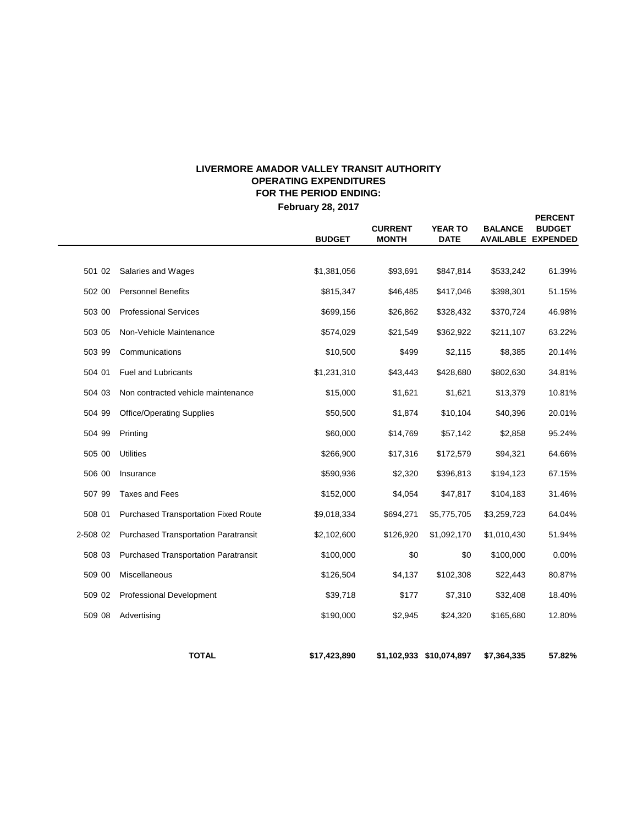# **LIVERMORE AMADOR VALLEY TRANSIT AUTHORITY OPERATING EXPENDITURES FOR THE PERIOD ENDING:**

**February 28, 2017**

**PERCENT**

|          |                                             | <b>BUDGET</b> | <b>CURRENT</b><br><b>MONTH</b> | <b>YEAR TO</b><br><b>DATE</b> | <b>BALANCE</b> | <b>BUDGET</b><br><b>AVAILABLE EXPENDED</b> |
|----------|---------------------------------------------|---------------|--------------------------------|-------------------------------|----------------|--------------------------------------------|
|          |                                             |               |                                |                               |                |                                            |
| 501 02   | Salaries and Wages                          | \$1,381,056   | \$93,691                       | \$847,814                     | \$533,242      | 61.39%                                     |
| 502 00   | <b>Personnel Benefits</b>                   | \$815,347     | \$46,485                       | \$417,046                     | \$398,301      | 51.15%                                     |
| 503 00   | <b>Professional Services</b>                | \$699,156     | \$26,862                       | \$328,432                     | \$370,724      | 46.98%                                     |
| 503 05   | Non-Vehicle Maintenance                     | \$574,029     | \$21,549                       | \$362,922                     | \$211,107      | 63.22%                                     |
| 503 99   | Communications                              | \$10,500      | \$499                          | \$2,115                       | \$8,385        | 20.14%                                     |
| 504 01   | <b>Fuel and Lubricants</b>                  | \$1,231,310   | \$43,443                       | \$428,680                     | \$802,630      | 34.81%                                     |
| 504 03   | Non contracted vehicle maintenance          | \$15,000      | \$1,621                        | \$1,621                       | \$13,379       | 10.81%                                     |
| 504 99   | <b>Office/Operating Supplies</b>            | \$50,500      | \$1,874                        | \$10,104                      | \$40,396       | 20.01%                                     |
| 504 99   | Printing                                    | \$60,000      | \$14,769                       | \$57,142                      | \$2,858        | 95.24%                                     |
| 505 00   | <b>Utilities</b>                            | \$266,900     | \$17,316                       | \$172,579                     | \$94,321       | 64.66%                                     |
| 506 00   | Insurance                                   | \$590,936     | \$2,320                        | \$396,813                     | \$194,123      | 67.15%                                     |
| 507 99   | <b>Taxes and Fees</b>                       | \$152,000     | \$4,054                        | \$47,817                      | \$104,183      | 31.46%                                     |
| 508 01   | Purchased Transportation Fixed Route        | \$9,018,334   | \$694,271                      | \$5,775,705                   | \$3,259,723    | 64.04%                                     |
| 2-508 02 | <b>Purchased Transportation Paratransit</b> | \$2,102,600   | \$126,920                      | \$1,092,170                   | \$1,010,430    | 51.94%                                     |
| 508 03   | <b>Purchased Transportation Paratransit</b> | \$100,000     | \$0                            | \$0                           | \$100,000      | 0.00%                                      |
| 509 00   | Miscellaneous                               | \$126,504     | \$4,137                        | \$102,308                     | \$22,443       | 80.87%                                     |
| 509 02   | <b>Professional Development</b>             | \$39,718      | \$177                          | \$7,310                       | \$32,408       | 18.40%                                     |
| 509 08   | Advertising                                 | \$190,000     | \$2,945                        | \$24,320                      | \$165,680      | 12.80%                                     |
|          | <b>TOTAL</b>                                | \$17,423,890  |                                | \$1,102,933 \$10,074,897      | \$7,364,335    | 57.82%                                     |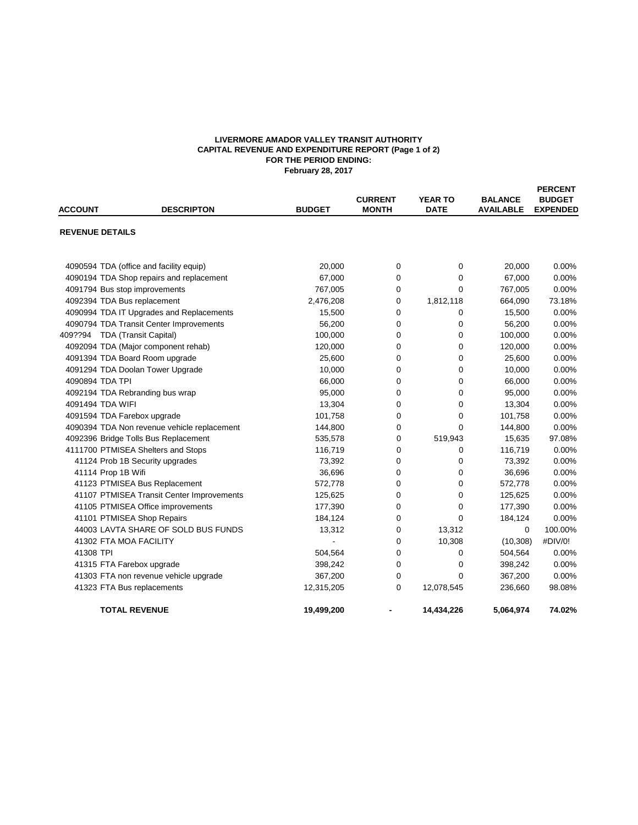#### **LIVERMORE AMADOR VALLEY TRANSIT AUTHORITY CAPITAL REVENUE AND EXPENDITURE REPORT (Page 1 of 2) FOR THE PERIOD ENDING: February 28, 2017**

| <b>ACCOUNT</b>         | <b>DESCRIPTON</b>                           | <b>BUDGET</b> | <b>CURRENT</b><br><b>MONTH</b> | <b>YEAR TO</b><br><b>DATE</b> | <b>BALANCE</b><br><b>AVAILABLE</b> | <b>PERCENT</b><br><b>BUDGET</b><br><b>EXPENDED</b> |
|------------------------|---------------------------------------------|---------------|--------------------------------|-------------------------------|------------------------------------|----------------------------------------------------|
| <b>REVENUE DETAILS</b> |                                             |               |                                |                               |                                    |                                                    |
|                        |                                             |               |                                |                               |                                    |                                                    |
|                        | 4090594 TDA (office and facility equip)     | 20,000        | $\mathbf 0$                    | 0                             | 20,000                             | 0.00%                                              |
|                        | 4090194 TDA Shop repairs and replacement    | 67,000        | 0                              | 0                             | 67,000                             | 0.00%                                              |
|                        | 4091794 Bus stop improvements               | 767,005       | 0                              | $\Omega$                      | 767,005                            | 0.00%                                              |
|                        | 4092394 TDA Bus replacement                 | 2,476,208     | $\mathbf 0$                    | 1,812,118                     | 664,090                            | 73.18%                                             |
|                        | 4090994 TDA IT Upgrades and Replacements    | 15,500        | 0                              | 0                             | 15,500                             | 0.00%                                              |
|                        | 4090794 TDA Transit Center Improvements     | 56,200        | 0                              | $\mathbf 0$                   | 56,200                             | 0.00%                                              |
|                        | 409??94 TDA (Transit Capital)               | 100,000       | $\Omega$                       | $\mathbf 0$                   | 100,000                            | 0.00%                                              |
|                        | 4092094 TDA (Major component rehab)         | 120,000       | 0                              | $\mathbf 0$                   | 120,000                            | 0.00%                                              |
|                        | 4091394 TDA Board Room upgrade              | 25,600        | 0                              | $\mathbf 0$                   | 25,600                             | 0.00%                                              |
|                        | 4091294 TDA Doolan Tower Upgrade            | 10,000        | $\Omega$                       | $\Omega$                      | 10,000                             | 0.00%                                              |
|                        | 4090894 TDA TPI                             | 66,000        | $\Omega$                       | $\Omega$                      | 66,000                             | 0.00%                                              |
|                        | 4092194 TDA Rebranding bus wrap             | 95,000        | 0                              | 0                             | 95,000                             | 0.00%                                              |
|                        | 4091494 TDA WIFI                            | 13,304        | 0                              | $\Omega$                      | 13,304                             | 0.00%                                              |
|                        | 4091594 TDA Farebox upgrade                 | 101,758       | 0                              | $\mathbf 0$                   | 101,758                            | 0.00%                                              |
|                        | 4090394 TDA Non revenue vehicle replacement | 144,800       | 0                              | $\Omega$                      | 144,800                            | 0.00%                                              |
|                        | 4092396 Bridge Tolls Bus Replacement        | 535,578       | 0                              | 519,943                       | 15,635                             | 97.08%                                             |
|                        | 4111700 PTMISEA Shelters and Stops          | 116,719       | 0                              | 0                             | 116,719                            | 0.00%                                              |
|                        | 41124 Prob 1B Security upgrades             | 73,392        | $\mathbf 0$                    | 0                             | 73,392                             | 0.00%                                              |
|                        | 41114 Prop 1B Wifi                          | 36,696        | $\mathbf 0$                    | 0                             | 36,696                             | 0.00%                                              |
|                        | 41123 PTMISEA Bus Replacement               | 572,778       | 0                              | $\mathbf 0$                   | 572,778                            | 0.00%                                              |
|                        | 41107 PTMISEA Transit Center Improvements   | 125,625       | $\mathbf 0$                    | $\boldsymbol{0}$              | 125,625                            | 0.00%                                              |
|                        | 41105 PTMISEA Office improvements           | 177,390       | 0                              | 0                             | 177,390                            | 0.00%                                              |
|                        | 41101 PTMISEA Shop Repairs                  | 184,124       | 0                              | $\mathbf 0$                   | 184,124                            | 0.00%                                              |
|                        | 44003 LAVTA SHARE OF SOLD BUS FUNDS         | 13,312        | 0                              | 13,312                        | $\mathbf 0$                        | 100.00%                                            |
|                        | 41302 FTA MOA FACILITY                      | ÷.            | 0                              | 10,308                        | (10, 308)                          | #DIV/0!                                            |
| 41308 TPI              |                                             | 504,564       | 0                              | 0                             | 504,564                            | 0.00%                                              |
|                        | 41315 FTA Farebox upgrade                   | 398,242       | 0                              | 0                             | 398,242                            | 0.00%                                              |
|                        | 41303 FTA non revenue vehicle upgrade       | 367,200       | 0                              | $\Omega$                      | 367,200                            | 0.00%                                              |
|                        | 41323 FTA Bus replacements                  | 12,315,205    | 0                              | 12,078,545                    | 236,660                            | 98.08%                                             |
|                        | <b>TOTAL REVENUE</b>                        | 19,499,200    |                                | 14.434.226                    | 5,064,974                          | 74.02%                                             |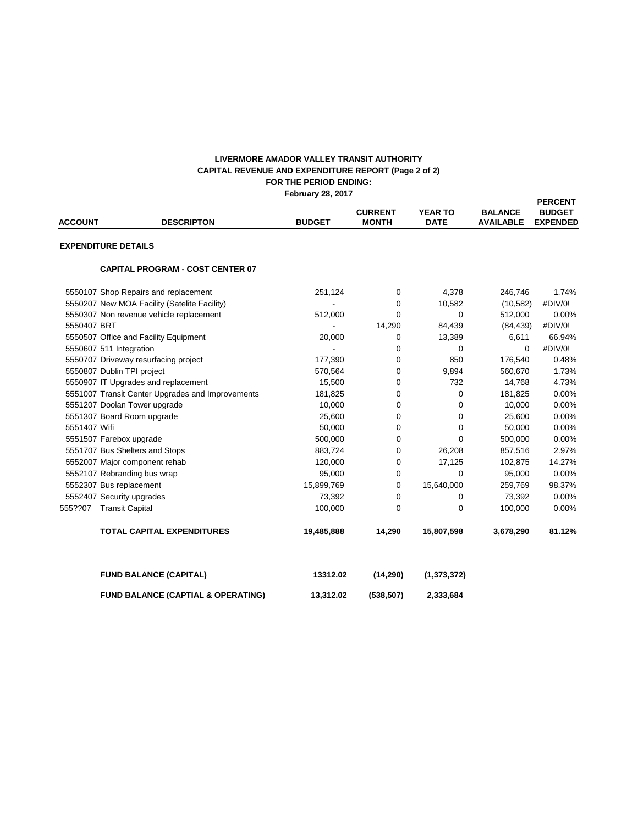#### **FOR THE PERIOD ENDING: February 28, 2017 LIVERMORE AMADOR VALLEY TRANSIT AUTHORITY CAPITAL REVENUE AND EXPENDITURE REPORT (Page 2 of 2)**

| <b>ACCOUNT</b>             | <b>DESCRIPTON</b>                                | <b>BUDGET</b> | <b>CURRENT</b><br><b>MONTH</b> | <b>YEAR TO</b><br><b>DATE</b> | <b>BALANCE</b><br><b>AVAILABLE</b> | <b>PERCENT</b><br><b>BUDGET</b><br><b>EXPENDED</b> |
|----------------------------|--------------------------------------------------|---------------|--------------------------------|-------------------------------|------------------------------------|----------------------------------------------------|
| <b>EXPENDITURE DETAILS</b> |                                                  |               |                                |                               |                                    |                                                    |
|                            | <b>CAPITAL PROGRAM - COST CENTER 07</b>          |               |                                |                               |                                    |                                                    |
|                            | 5550107 Shop Repairs and replacement             | 251,124       | 0                              | 4,378                         | 246,746                            | 1.74%                                              |
|                            | 5550207 New MOA Facility (Satelite Facility)     |               | $\mathbf 0$                    | 10,582                        | (10, 582)                          | #DIV/0!                                            |
|                            | 5550307 Non revenue vehicle replacement          | 512,000       | $\mathbf 0$                    | $\mathbf 0$                   | 512,000                            | 0.00%                                              |
| 5550407 BRT                |                                                  |               | 14,290                         | 84,439                        | (84, 439)                          | #DIV/0!                                            |
|                            | 5550507 Office and Facility Equipment            | 20,000        | $\mathbf 0$                    | 13,389                        | 6,611                              | 66.94%                                             |
|                            | 5550607 511 Integration                          |               | 0                              | $\mathbf 0$                   | $\Omega$                           | #DIV/0!                                            |
|                            | 5550707 Driveway resurfacing project             | 177,390       | 0                              | 850                           | 176,540                            | 0.48%                                              |
|                            | 5550807 Dublin TPI project                       | 570,564       | 0                              | 9,894                         | 560,670                            | 1.73%                                              |
|                            | 5550907 IT Upgrades and replacement              | 15,500        | $\Omega$                       | 732                           | 14,768                             | 4.73%                                              |
|                            | 5551007 Transit Center Upgrades and Improvements | 181,825       | 0                              | $\mathbf 0$                   | 181,825                            | 0.00%                                              |
|                            | 5551207 Doolan Tower upgrade                     | 10,000        | 0                              | $\mathbf 0$                   | 10,000                             | 0.00%                                              |
|                            | 5551307 Board Room upgrade                       | 25,600        | 0                              | $\mathbf 0$                   | 25,600                             | 0.00%                                              |
| 5551407 Wifi               |                                                  | 50,000        | 0                              | $\mathbf 0$                   | 50,000                             | 0.00%                                              |
|                            | 5551507 Farebox upgrade                          | 500,000       | 0                              | $\Omega$                      | 500,000                            | 0.00%                                              |
|                            | 5551707 Bus Shelters and Stops                   | 883,724       | 0                              | 26,208                        | 857,516                            | 2.97%                                              |
|                            | 5552007 Major component rehab                    | 120,000       | 0                              | 17,125                        | 102,875                            | 14.27%                                             |
|                            | 5552107 Rebranding bus wrap                      | 95,000        | $\mathbf 0$                    | $\Omega$                      | 95,000                             | 0.00%                                              |
|                            | 5552307 Bus replacement                          | 15,899,769    | $\mathbf 0$                    | 15,640,000                    | 259,769                            | 98.37%                                             |
|                            | 5552407 Security upgrades                        | 73,392        | 0                              | 0                             | 73,392                             | 0.00%                                              |
| 555??07                    | <b>Transit Capital</b>                           | 100,000       | $\Omega$                       | $\mathbf 0$                   | 100,000                            | 0.00%                                              |
|                            | <b>TOTAL CAPITAL EXPENDITURES</b>                | 19,485,888    | 14,290                         | 15,807,598                    | 3,678,290                          | 81.12%                                             |
|                            | <b>FUND BALANCE (CAPITAL)</b>                    | 13312.02      | (14, 290)                      | (1, 373, 372)                 |                                    |                                                    |
|                            | <b>FUND BALANCE (CAPTIAL &amp; OPERATING)</b>    | 13,312.02     | (538, 507)                     | 2,333,684                     |                                    |                                                    |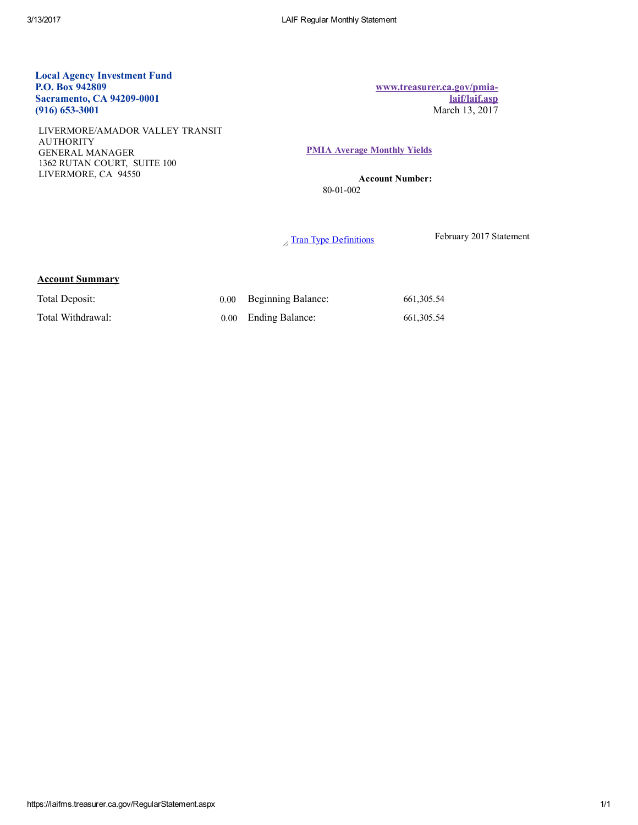### Local Agency Investment Fund P.O. Box 942809 Sacramento, CA 94209-0001  $(916)$  653-3001

LIVERMORE/AMADOR VALLEY TRANSIT AUTHORITY GENERAL MANAGER 1362 RUTAN COURT, SUITE 100 LIVERMORE, CA 94550

[www.treasurer.ca.gov/pmia](http://www.treasurer.ca.gov/pmia-laif/laif.asp)laif/laif.asp March 13, 2017

#### PMIA Average [Monthly](http://www.treasurer.ca.gov/pmia-laif/historical/avg_mn_ylds.asp) Yields

Account Number: 80-01-002

 $\sqrt{\frac{\text{Tran Type Definition}}{\text{Im}}$  February 2017 Statement

#### Account Summary

| Total Deposit:    | 0.00 Beginning Balance: | 661, 305.54 |
|-------------------|-------------------------|-------------|
| Total Withdrawal: | 0.00 Ending Balance:    | 661.305.54  |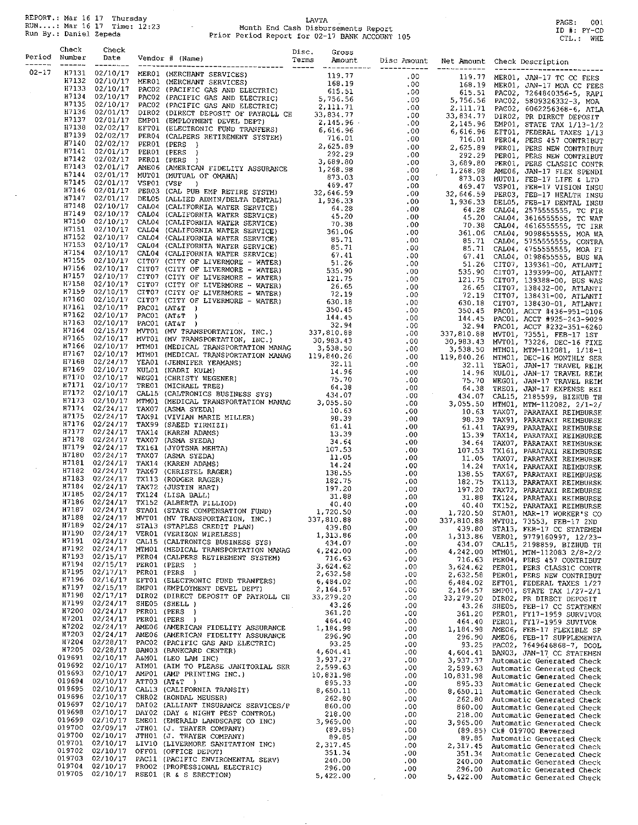REPORT.: Mar 16 17 Thursday<br>RUN....: Mar 16 17 Time: 12:23<br>Run By.: Daniel Zepeda

 $\sim$ 

 $\mathcal{L}$ 

# LAVTA<br>Month End Cash Disbursements Report<br>Prior Period Report for 02-17 BANK ACCOUNT 105

PAGE: 001<br>ID #: PY-CD<br>CTL.: WHE

 $\mathcal{L}^{\mathcal{L}}$ 

|           | Period Number |  |  |  |  |
|-----------|---------------|--|--|--|--|
| $02 - 17$ |               |  |  |  |  |
|           |               |  |  |  |  |
|           |               |  |  |  |  |
|           |               |  |  |  |  |
|           |               |  |  |  |  |
|           |               |  |  |  |  |
|           |               |  |  |  |  |
|           |               |  |  |  |  |
|           |               |  |  |  |  |
|           |               |  |  |  |  |
|           |               |  |  |  |  |
|           |               |  |  |  |  |
|           |               |  |  |  |  |
|           |               |  |  |  |  |
|           |               |  |  |  |  |
|           |               |  |  |  |  |
|           |               |  |  |  |  |
|           |               |  |  |  |  |
|           |               |  |  |  |  |
|           |               |  |  |  |  |
|           |               |  |  |  |  |
|           |               |  |  |  |  |
|           |               |  |  |  |  |
|           |               |  |  |  |  |
|           |               |  |  |  |  |
|           |               |  |  |  |  |
|           |               |  |  |  |  |
|           |               |  |  |  |  |
|           |               |  |  |  |  |
|           |               |  |  |  |  |
|           |               |  |  |  |  |
|           |               |  |  |  |  |
|           |               |  |  |  |  |
|           |               |  |  |  |  |
|           |               |  |  |  |  |
|           |               |  |  |  |  |
|           |               |  |  |  |  |
|           |               |  |  |  |  |
|           |               |  |  |  |  |
|           |               |  |  |  |  |
|           |               |  |  |  |  |
|           |               |  |  |  |  |
|           |               |  |  |  |  |
|           |               |  |  |  |  |
|           |               |  |  |  |  |
|           |               |  |  |  |  |
|           |               |  |  |  |  |
|           |               |  |  |  |  |
|           |               |  |  |  |  |
|           |               |  |  |  |  |
|           |               |  |  |  |  |
|           |               |  |  |  |  |
|           |               |  |  |  |  |
|           |               |  |  |  |  |
|           |               |  |  |  |  |
|           |               |  |  |  |  |
|           |               |  |  |  |  |
|           |               |  |  |  |  |
|           |               |  |  |  |  |
|           |               |  |  |  |  |
|           |               |  |  |  |  |
|           |               |  |  |  |  |
|           |               |  |  |  |  |
|           |               |  |  |  |  |
|           |               |  |  |  |  |
|           |               |  |  |  |  |
|           |               |  |  |  |  |
|           |               |  |  |  |  |
|           |               |  |  |  |  |
|           |               |  |  |  |  |
|           |               |  |  |  |  |
|           |               |  |  |  |  |
|           |               |  |  |  |  |
|           |               |  |  |  |  |
|           |               |  |  |  |  |
|           |               |  |  |  |  |

 $\sim 10^{-1}$ 

 $\sim$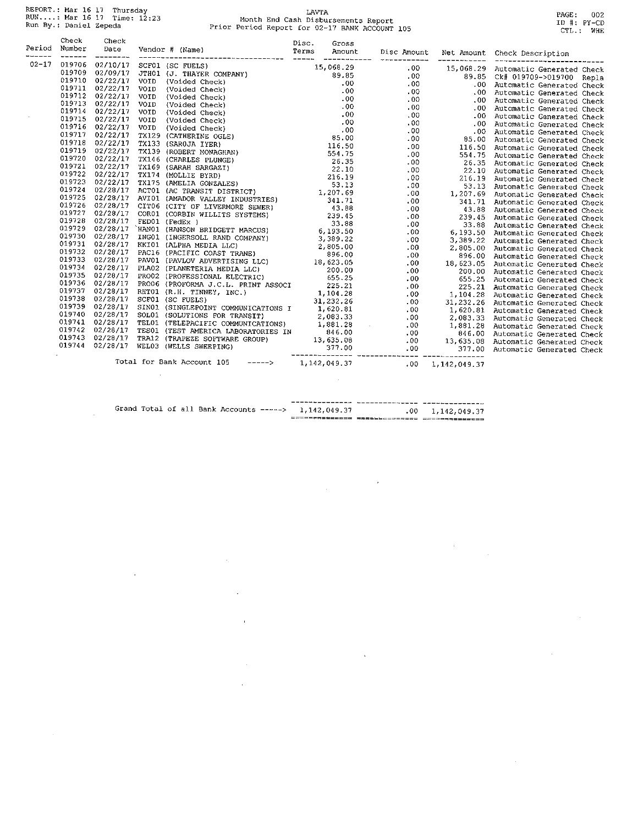REPORT.: Mar 16 17 Thursday<br>RUN....: Mar 16 17 Time: 12:23<br>Run By.: Daniel Zepeda

 $\sim$ 

 $\mathcal{L}$ 

 $\bar{z}$ 

 $\bar{z}$ 

# LAVTA<br>Month End Cash Disbursements Report<br>Prior Period Report for 02-17 BANK ACCOUNT 105

PAGE: 002<br>ID #: PY-CD<br>CTL.: WHE

|           | Check<br>Period Number<br>------- | Check<br>Date<br>_________ |  |  |  |                                  |  |
|-----------|-----------------------------------|----------------------------|--|--|--|----------------------------------|--|
| $02 - 17$ |                                   |                            |  |  |  |                                  |  |
|           |                                   |                            |  |  |  |                                  |  |
|           |                                   |                            |  |  |  | .00 Automatic Generated Check    |  |
|           |                                   |                            |  |  |  | .00 Automatic Generated Check    |  |
|           |                                   |                            |  |  |  | .00 Automatic Generated Check    |  |
|           |                                   |                            |  |  |  | .00 Automatic Generated Check    |  |
|           |                                   |                            |  |  |  | .00 Automatic Generated Check    |  |
|           |                                   |                            |  |  |  |                                  |  |
|           |                                   |                            |  |  |  |                                  |  |
|           |                                   |                            |  |  |  |                                  |  |
|           |                                   |                            |  |  |  | 116.50 Automatic Generated Check |  |
|           |                                   |                            |  |  |  | 554.75 Automatic Generated Check |  |
|           |                                   |                            |  |  |  |                                  |  |
|           |                                   |                            |  |  |  |                                  |  |
|           |                                   |                            |  |  |  |                                  |  |
|           |                                   |                            |  |  |  |                                  |  |
|           |                                   |                            |  |  |  |                                  |  |
|           |                                   |                            |  |  |  |                                  |  |
|           |                                   |                            |  |  |  |                                  |  |
|           |                                   |                            |  |  |  |                                  |  |
|           |                                   |                            |  |  |  |                                  |  |
|           |                                   |                            |  |  |  |                                  |  |
|           |                                   |                            |  |  |  |                                  |  |
|           |                                   |                            |  |  |  |                                  |  |
|           |                                   |                            |  |  |  | 896.00 Automatic Generated Check |  |
|           |                                   |                            |  |  |  |                                  |  |
|           |                                   |                            |  |  |  |                                  |  |
|           |                                   |                            |  |  |  |                                  |  |
|           |                                   |                            |  |  |  |                                  |  |
|           |                                   |                            |  |  |  |                                  |  |
|           |                                   |                            |  |  |  |                                  |  |
|           |                                   |                            |  |  |  |                                  |  |
|           |                                   |                            |  |  |  |                                  |  |
|           |                                   |                            |  |  |  |                                  |  |
|           |                                   |                            |  |  |  |                                  |  |
|           |                                   |                            |  |  |  |                                  |  |
|           |                                   |                            |  |  |  |                                  |  |
|           |                                   |                            |  |  |  |                                  |  |

 $\ddot{\phantom{a}}$ 

 $\cdot$ 

 $\overline{1}$ 

 $\bar{z}$ 

 $\bar{\mathcal{A}}$ 

J.

 $\sim$   $\lambda$ 

 $\hat{\mathbf{v}}$ 

 $\mathbf{r}$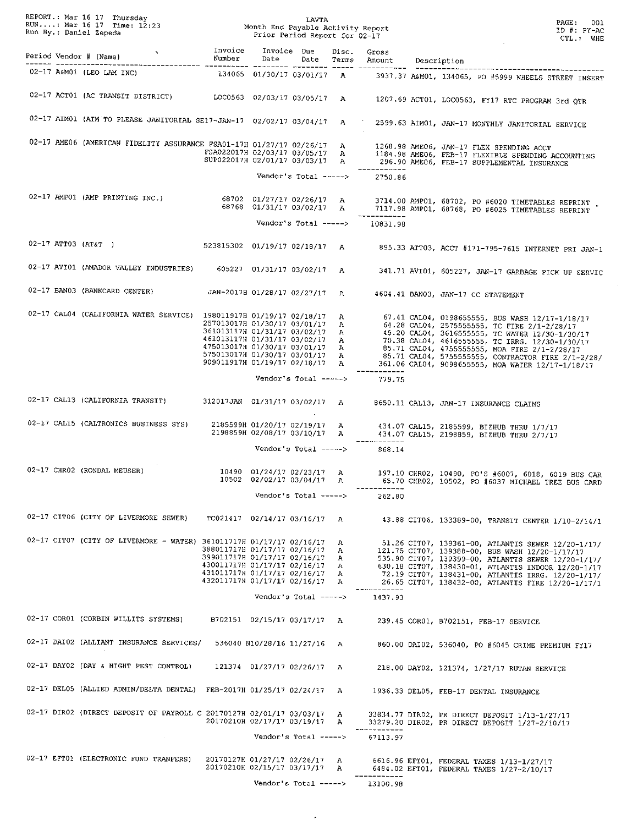|  |                                                                                                                                                                                                                                                          |                                                                                                                                                                        |                             |             |       |                                        | PAGE:<br>001<br>$ID$ #: $PY-AC$<br>CTL.: WHE                                                                                                                                                                                                                                                                                                                                                      |
|--|----------------------------------------------------------------------------------------------------------------------------------------------------------------------------------------------------------------------------------------------------------|------------------------------------------------------------------------------------------------------------------------------------------------------------------------|-----------------------------|-------------|-------|----------------------------------------|---------------------------------------------------------------------------------------------------------------------------------------------------------------------------------------------------------------------------------------------------------------------------------------------------------------------------------------------------------------------------------------------------|
|  | vert in the set of the set of the set of the set of the set of the set of the set of the set of the set of the set of the set of the set of the set of the set of the set of the set of the set of the set of the set of the s<br>Period Vendor # (Name) | Number                                                                                                                                                                 | Date                        | Invoice Due | Disc. | Gross<br>Date Terms Amount Description |                                                                                                                                                                                                                                                                                                                                                                                                   |
|  | 02-17 A&M01 (LEO LAM INC)                                                                                                                                                                                                                                |                                                                                                                                                                        |                             |             |       |                                        | 134065 01/30/17 03/01/17 A 3937.37 A&M01, 134065, PO #5999 WHEELS STREET INSERT                                                                                                                                                                                                                                                                                                                   |
|  |                                                                                                                                                                                                                                                          |                                                                                                                                                                        |                             |             |       |                                        | 02-17 ACT01 (AC TRANSIT DISTRICT) LOC0563 02/03/17 03/05/17 A 1207.69 ACT01, LOC0563, FY17 RTC PROGRAM 3rd QTR                                                                                                                                                                                                                                                                                    |
|  |                                                                                                                                                                                                                                                          |                                                                                                                                                                        |                             |             |       |                                        | 02-17 AIMO1 (AIM TO PLEASE JANITORIAL SE17-JAN-17 02/02/17 03/04/17 A / 2599.63 AIMO1, JAN-17 MONTHLY JANITORIAL SERVICE                                                                                                                                                                                                                                                                          |
|  |                                                                                                                                                                                                                                                          |                                                                                                                                                                        |                             |             |       |                                        | 02-17 AME06 (AMERICAN FIDELITY ASSURANCE FSA01-17H 01/27/17 02/26/17 A 1268.98 AME06, JAN-17 FLEX SPENDING ACCT<br>FSA022017H 02/03/17 03/05/17 A 1184.98 AME06, FEB-17 FLEXIBLE SPENDING ACCOUNTING<br>SUP022017H 02/01/17 03/03/17                                                                                                                                                              |
|  |                                                                                                                                                                                                                                                          |                                                                                                                                                                        | Vendor's Total ----->       |             |       | 2750.86                                |                                                                                                                                                                                                                                                                                                                                                                                                   |
|  |                                                                                                                                                                                                                                                          |                                                                                                                                                                        |                             |             |       |                                        | 02-17 AMP01 (AMP PRINTING INC.) 68702 01/27/17 02/26/17 A 3714.00 AMP01, 68702, PO #6020 TIMETABLES REPRINT                                                                                                                                                                                                                                                                                       |
|  |                                                                                                                                                                                                                                                          |                                                                                                                                                                        |                             |             |       | Vendor's Total -----> 10831.98         |                                                                                                                                                                                                                                                                                                                                                                                                   |
|  | 02-17 ATT03 (AT&T)                                                                                                                                                                                                                                       |                                                                                                                                                                        |                             |             |       |                                        | 523815302 01/19/17 02/18/17 A 895.33 ATT03, ACCT #171-795-7615 INTERNET PRI JAN-1                                                                                                                                                                                                                                                                                                                 |
|  | 02-17 AVI01 (AMADOR VALLEY INDUSTRIES) 605227 01/31/17 03/02/17 A                                                                                                                                                                                        |                                                                                                                                                                        |                             |             |       |                                        | 341.71 AVI01, 605227, JAN-17 GARBAGE PICK UP SERVIC                                                                                                                                                                                                                                                                                                                                               |
|  | 02-17 BAN03 (BANKCARD CENTER) JAN-2017H 01/28/17 02/27/17 A                                                                                                                                                                                              |                                                                                                                                                                        |                             |             |       |                                        | 4604.41 BAN03, JAN-17 CC STATEMENT                                                                                                                                                                                                                                                                                                                                                                |
|  | 02-17 CAL04 (CALIFORNIA WATER SERVICE) 198011917H 01/19/17 02/18/17 A                                                                                                                                                                                    | 257013017H 01/30/17 03/01/17 A                                                                                                                                         |                             |             |       |                                        | 67.41 CAL04, 0198655555, BUS WASH 12/17-1/18/17<br>64.28 CAL04, 25755555555, TC FIRE 2/1-2/28/17<br>257013017H 01/30717 03701717 A<br>36103117H 01/31717 03702717 A<br>46.28 CAL04, 25755555555, TC WATER 12/30-1730717<br>461013117H 01/31717 03702717 A<br>475013017H 01/30717 03701717 A<br>85.71 CAL04, 46165555555, MOA FIRE 271-272871<br>361.06 CAL04, 9098655555, MOA WATER 12/17-1/18/17 |
|  |                                                                                                                                                                                                                                                          |                                                                                                                                                                        | Vendor's Total ----->       |             |       | ------------<br>779.75                 |                                                                                                                                                                                                                                                                                                                                                                                                   |
|  | 02-17 CAL13 (CALIFORNIA TRANSIT) 312017JAN 01/31/17 03/02/17 A 8650.11 CAL13, JAN-17 INSURANCE CLAIMS                                                                                                                                                    |                                                                                                                                                                        |                             |             |       |                                        |                                                                                                                                                                                                                                                                                                                                                                                                   |
|  | 02-17 CAL15 (CALTRONICS BUSINESS SYS)                                                                                                                                                                                                                    |                                                                                                                                                                        |                             |             |       |                                        | 2185599H 01/20/17 02/19/17 A 434.07 CAL15, 2185599, BIZHUB THRU 1/7/17<br>2198859H 02/08/17 03/10/17 A 434.07 CAL15, 2198859, BIZHUB THRU 2/7/17                                                                                                                                                                                                                                                  |
|  |                                                                                                                                                                                                                                                          |                                                                                                                                                                        | Vendor's Total ----->       |             |       | ________<br>868.14                     |                                                                                                                                                                                                                                                                                                                                                                                                   |
|  |                                                                                                                                                                                                                                                          |                                                                                                                                                                        |                             |             |       | -----------                            | 02-17 CHR02 (RONDAL MEUSER) $10490$ $01/24/17$ $02/23/17$ A $197.10$ CHR02, $10490$ , $P0'S$ #6007, 6018, 6019 BUS CAR<br>10502 02/02/17 03/04/17 A 65.70 CHR02, 10502, PO #6037 MICHAEL TREE BUS CARD                                                                                                                                                                                            |
|  |                                                                                                                                                                                                                                                          |                                                                                                                                                                        | Vendor's $Total$ ----->     |             |       | 262.80                                 |                                                                                                                                                                                                                                                                                                                                                                                                   |
|  | 02-17 CIT06 (CITY OF LIVERMORE SEWER)                                                                                                                                                                                                                    | TC021417 02/14/17 03/16/17 A                                                                                                                                           |                             |             |       |                                        | 43.88 CIT06, 133389-00, TRANSIT CENTER 1/10-2/14/1                                                                                                                                                                                                                                                                                                                                                |
|  | 02-17 CIT07 (CITY OF LIVERMORE - WATER) 361011717H 01/17/17 02/16/17                                                                                                                                                                                     | 388011717H 01/17/17 02/16/17 A<br>399011717H 01/17/17 02/16/17 A<br>430011717H 01/17/17 02/16/17 A<br>431011717H 01/17/17 02/16/17 A<br>432011717H 01/17/17 02/16/17 A |                             |             | A     |                                        | 51.26 CIT07, 139361-00, ATLANTIS SEWER 12/20-1/17/<br>121.75 CIT07, 139388-00, BUS WASH 12/20-1/17/17<br>535.90 CIT07, 139399-00, ATLANTIS SEWER 12/20-1/17/<br>630.18 CIT07, 138430-01, ATLANTIS INDOOR 12/20-1/17<br>72.19 CIT07, 138431-00, ATLANTIS IRRG. 12/20-1/17/<br>26.65 CIT07, 138432-00, ATLANTIS FIRE 12/20-1/17/1                                                                   |
|  |                                                                                                                                                                                                                                                          |                                                                                                                                                                        | Vendor's Total ------>      |             |       | 1437.93                                |                                                                                                                                                                                                                                                                                                                                                                                                   |
|  | 02-17 COR01 (CORBIN WILLITS SYSTEMS)                                                                                                                                                                                                                     |                                                                                                                                                                        | B702151 02/15/17 03/17/17 A |             |       |                                        | 239.45 COR01, B702151, FEB-17 SERVICE                                                                                                                                                                                                                                                                                                                                                             |
|  | 02-17 DAI02 (ALLIANT INSURANCE SERVICES/                                                                                                                                                                                                                 |                                                                                                                                                                        | 536040 N10/28/16 11/27/16 A |             |       |                                        | 860.00 DAI02, 536040, PO #6045 CRIME PREMIUM FY17                                                                                                                                                                                                                                                                                                                                                 |
|  | 02-17 DAY02 (DAY & NIGHT PEST CONTROL)                                                                                                                                                                                                                   |                                                                                                                                                                        | 121374 01/27/17 02/26/17 A  |             |       |                                        | 218.00 DAY02, 121374, 1/27/17 RUTAN SERVICE                                                                                                                                                                                                                                                                                                                                                       |
|  | 02-17 DEL05 (ALLIED ADMIN/DELTA DENTAL) FEB-2017H 01/25/17 02/24/17 A                                                                                                                                                                                    |                                                                                                                                                                        |                             |             |       |                                        | 1936.33 DEL05, FEB-17 DENTAL INSURANCE                                                                                                                                                                                                                                                                                                                                                            |
|  | 02-17 DIR02 (DIRECT DEPOSIT OF PAYROLL C 20170127H 02/01/17 03/03/17 A                                                                                                                                                                                   | 20170210H 02/17/17 03/19/17 A                                                                                                                                          |                             |             |       |                                        | 33834.77 DIRO2, PR DIRECT DEPOSIT 1/13-1/27/17<br>33279.20 DIR02, PR DIRECT DEPOSIT 1/27-2/10/17                                                                                                                                                                                                                                                                                                  |
|  | $\sim$                                                                                                                                                                                                                                                   |                                                                                                                                                                        | Vendor's Total ----->       |             |       | 67113.97                               |                                                                                                                                                                                                                                                                                                                                                                                                   |
|  | 02-17 EFT01 (ELECTRONIC FUND TRANFERS)                                                                                                                                                                                                                   | 20170127H 01/27/17 02/26/17 A<br>20170210H 02/15/17 03/17/17 A                                                                                                         | Vendor's Total ----->       |             |       | ------------<br>13100.98               | 6616.96 EFT01, FEDERAL TAXES 1/13-1/27/17<br>6484.02 EFT01, FEDERAL TAXES 1/27-2/10/17                                                                                                                                                                                                                                                                                                            |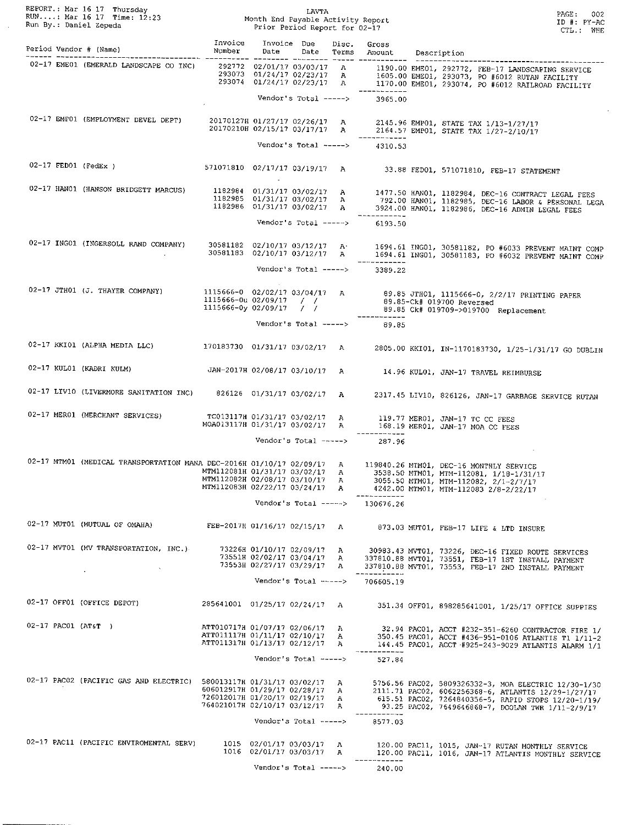| Run By.: Daniel Zepeda   | REPORT.: Mar 16 17 Thursday<br>RUN: Mar 16 17 Time: $12:23$<br>Nonth End Payable Activity Report<br>Num By.: Daniel Zepeda<br>Prior Period Popent for 03.17 |                                                                                              |                                                                                          | LAVTA<br>Prior Period Report for 02-17 |                                   |                         | PAGE :<br>002<br>$ID$ #: $PY-AC$<br>CTL.: WHE                                                                                                                                                                           |  |
|--------------------------|-------------------------------------------------------------------------------------------------------------------------------------------------------------|----------------------------------------------------------------------------------------------|------------------------------------------------------------------------------------------|----------------------------------------|-----------------------------------|-------------------------|-------------------------------------------------------------------------------------------------------------------------------------------------------------------------------------------------------------------------|--|
| Period Vendor # (Name)   |                                                                                                                                                             | Invoice<br>Number                                                                            | Invoice Due<br>Date                                                                      | Date                                   | Disc.<br>Terms                    | Gross<br>Amount         | Description                                                                                                                                                                                                             |  |
|                          | 02-17 EME01 (EMERALD LANDSCAPE CO INC)                                                                                                                      |                                                                                              | 292772 02/01/17 03/03/17 A<br>293073 01/24/17 02/23/17 A<br>$293074$ 01/24/17 02/23/17 A |                                        |                                   | -----------             | 1190.00 EME01, 292772, FEB-17 LANDSCAPING SERVICE<br>1605.00 EME01, 293073, PO #6012 RUTAN FACILITY<br>1170.00 EME01, 293074, PO #6012 RAILROAD FACILITY                                                                |  |
|                          |                                                                                                                                                             |                                                                                              |                                                                                          | Vendor's Total ----->                  |                                   | 3965.00                 |                                                                                                                                                                                                                         |  |
|                          | 02-17 EMP01 (EMPLOYMENT DEVEL DEPT)                                                                                                                         |                                                                                              | 20170127H 01/27/17 02/26/17 A<br>20170210H 02/15/17 03/17/17 A                           |                                        |                                   |                         | 2145.96 EMP01, STATE TAX 1/13-1/27/17<br>2164.57 EMP01, STATE TAX 1/27-2/10/17                                                                                                                                          |  |
|                          |                                                                                                                                                             |                                                                                              |                                                                                          | Vendor's Total ----->                  |                                   | 4310.53                 |                                                                                                                                                                                                                         |  |
| $02-17$ FED01 (FedEx)    |                                                                                                                                                             | 571071810 02/17/17 03/19/17 A                                                                |                                                                                          |                                        |                                   |                         | 33.88 FED01, 571071810, FEB-17 STATEMENT                                                                                                                                                                                |  |
|                          | 02-17 HANO1 (HANSON BRIDGETT MARCUS)                                                                                                                        |                                                                                              | 1182984 01/31/17 03/02/17 A<br>1182985 01/31/17 03/02/17<br>1182986 01/31/17 03/02/17    |                                        | A<br>A                            |                         | 1477.50 HANO1, 1182984, DEC-16 CONTRACT LEGAL FEES<br>792.00 HAN01, 1182985, DEC-16 LABOR & PERSONAL LEGA<br>3924.00 HANO1, 1182986, DEC-16 ADMIN LEGAL FEES                                                            |  |
|                          |                                                                                                                                                             |                                                                                              |                                                                                          | Vendor's $Total$ ----->                |                                   | 6193.50                 |                                                                                                                                                                                                                         |  |
|                          | 02-17 ING01 (INGERSOLL RAND COMPANY)                                                                                                                        |                                                                                              | 30581182 02/10/17 03/12/17<br>30581183 02/10/17 03/12/17                                 |                                        | A<br>Α                            |                         | 1694.61 ING01, 30581182, PO #6033 PREVENT MAINT COMP<br>1694.61 ING01, 30581183, PO #6032 PREVENT MAINT COMP                                                                                                            |  |
|                          |                                                                                                                                                             |                                                                                              |                                                                                          | Vendor's Total ----->                  |                                   | ------------<br>3389.22 |                                                                                                                                                                                                                         |  |
|                          | 02-17 JTH01 (J. THAYER COMPANY)                                                                                                                             | 1115666-0 02/02/17 03/04/17 A<br>1115666-0u 02/09/17 / /<br>1115666-0y 02/09/17 / /          |                                                                                          |                                        |                                   |                         | 89.85 JTH01, 1115666-0, 2/2/17 PRINTING PAPER<br>89.85-Ck# 019700 Reversed<br>89.85 Ck# 019709->019700 Replacement                                                                                                      |  |
|                          |                                                                                                                                                             |                                                                                              |                                                                                          | Vendor's Total ----->                  |                                   | ------------<br>89.85   |                                                                                                                                                                                                                         |  |
|                          | 02-17 KKI01 (ALPHA MEDIA LLC)                                                                                                                               | 170183730 01/31/17 03/02/17 A                                                                |                                                                                          |                                        |                                   |                         | 2805.00 KKI01, IN-1170183730, 1/25-1/31/17 GO DUBLIN                                                                                                                                                                    |  |
| 02-17 KUL01 (KADRI KULM) |                                                                                                                                                             | JAN-2017H 02/08/17 03/10/17 A                                                                |                                                                                          |                                        |                                   |                         | 14.96 KULO1, JAN-17 TRAVEL REIMBURSE                                                                                                                                                                                    |  |
|                          | 02-17 LIV10 (LIVERMORE SANITATION INC)                                                                                                                      |                                                                                              | 826126 01/31/17 03/02/17 A                                                               |                                        |                                   |                         | 2317.45 LIV10, 826126, JAN-17 GARBAGE SERVICE RUTAN                                                                                                                                                                     |  |
|                          | 02-17 MER01 (MERCHANT SERVICES)                                                                                                                             | TC013117H 01/31/17 03/02/17<br>MOA013117H 01/31/17 03/02/17 A                                |                                                                                          |                                        | A                                 |                         | 119.77 MER01, JAN-17 TC CC FEES<br>168.19 MERO1, JAN-17 MOA CC FEES                                                                                                                                                     |  |
|                          |                                                                                                                                                             |                                                                                              |                                                                                          | Vendor's Total ----->                  |                                   | 287.96                  |                                                                                                                                                                                                                         |  |
|                          | 02-17 MTM01 (MEDICAL TRANSPORTATION MANA DEC-2016H 01/10/17 02/09/17 A                                                                                      | MTM112081H 01/31/17 03/02/17<br>MTM112082H 02/08/17 03/10/17<br>MTM112083H 02/22/17 03/24/17 |                                                                                          |                                        | A<br>$\mathbf{A}$<br>$\mathbf{A}$ |                         | 119840.26 MTM01, DEC-16 MONTHLY SERVICE<br>3538.50 MTM01, MTM-112081, 1/18-1/31/17<br>3055.50 MTM01, MTM-112082, 2/1-2/7/17<br>4242.00 MTM01, MTM-112083 2/8-2/22/17                                                    |  |
|                          |                                                                                                                                                             |                                                                                              |                                                                                          | Vendor's Total ----->                  |                                   | 130676.26               |                                                                                                                                                                                                                         |  |
|                          | 02-17 MUT01 (MUTUAL OF OMAHA)                                                                                                                               | FEB-2017H 01/16/17 02/15/17 A                                                                |                                                                                          |                                        |                                   |                         | 873.03 MUT01, FEB-17 LIFE & LTD INSURE                                                                                                                                                                                  |  |
|                          | 02-17 MVT01 (MV TRANSPORTATION, INC.)                                                                                                                       |                                                                                              | 73226H 01/10/17 02/09/17<br>73551H 02/02/17 03/04/17<br>73553H 02/27/17 03/29/17         |                                        | A<br>$\mathbf{A}$<br>A            | ------------            | 30983.43 MVT01, 73226, DEC-16 FIXED ROUTE SERVICES<br>337810.88 MVT01, 73551, FEB-17 1ST INSTALL PAYMENT<br>337810.88 MVT01, 73553, FEB-17 2ND INSTALL PAYMENT                                                          |  |
|                          |                                                                                                                                                             |                                                                                              |                                                                                          | Vendor's Total ----->                  |                                   | 706605.19               |                                                                                                                                                                                                                         |  |
|                          | 02-17 OFF01 (OFFICE DEPOT)                                                                                                                                  | 285641001 01/25/17 02/24/17                                                                  |                                                                                          |                                        | $\mathbf{A}$                      |                         | 351.34 OFF01, 898285641001, 1/25/17 OFFICE SUPPIES                                                                                                                                                                      |  |
| $02-17$ PAC01 (AT&T)     |                                                                                                                                                             | ATT010717H 01/07/17 02/06/17<br>ATT011117H 01/11/17 02/10/17<br>ATT011317H 01/13/17 02/12/17 |                                                                                          |                                        | А<br>A<br>Α                       | ------------            | 32.94 PAC01, ACCT #232-351-6260 CONTRACTOR FIRE 1/<br>350.45 PAC01, ACCT #436-951-0106 ATLANTIS T1 1/11-2<br>144.45 PAC01, ACCT #925-243-9029 ATLANTIS ALARM 1/1                                                        |  |
|                          |                                                                                                                                                             |                                                                                              |                                                                                          | Vendor's Total ----->                  |                                   | 527.84                  |                                                                                                                                                                                                                         |  |
|                          | 02-17 PAC02 (PACIFIC GAS AND ELECTRIC) 580013117H 01/31/17 03/02/17                                                                                         | 606012917H 01/29/17 02/28/17<br>726012017H 01/20/17 02/19/17<br>764021017H 02/10/17 03/12/17 |                                                                                          |                                        | A<br>A<br>$\mathbf{A}$<br>А       |                         | 5756.56 PAC02, 5809326332-3, MOA ELECTRIC 12/30-1/30<br>2111.71 PAC02, 6062256368-6, ATLANTIS 12/29-1/27/17<br>615.51 PAC02, 7264840356-5, RAPID STOPS 12/20-1/19/<br>93.25 PAC02, 7649646868-7, DOOLAN TWR 1/11-2/9/17 |  |
|                          |                                                                                                                                                             |                                                                                              |                                                                                          | Vendor's $Total$ ----->                |                                   | -----------<br>8577,03  |                                                                                                                                                                                                                         |  |
|                          | 02-17 PAC11 (PACIFIC ENVIROMENTAL SERV)                                                                                                                     |                                                                                              | 1015 02/01/17 03/03/17<br>1016 02/01/17 03/03/17<br>Vendor's Total ----->                |                                        | A<br>$\mathbf{A}$                 | -----------<br>240.00   | 120.00 PAC11, 1015, JAN-17 RUTAN MONTHLY SERVICE<br>120.00 PAC11, 1016, JAN-17 ATLANTIS MONTHLY SERVICE                                                                                                                 |  |

 $\bar{\beta}$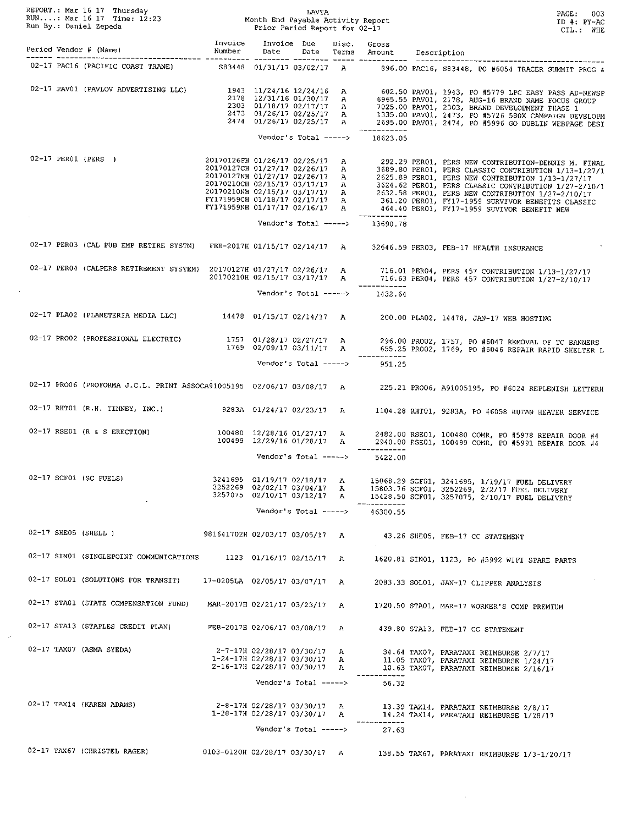|  | ENERALLY THE MANUS ENERGY THAT HAVE THE RUN Mar 16 17 Time: 12:23<br>RUN: Mar 16 17 Time: 12:23 Month End Payable Activity Report<br>Run By.: Daniel Zepeda Prior Period Report for 02-17 |                                                                  |                                                                                                                        |                       |                   |                                                 | PAGE: 003<br>ID #: PY-AC<br>CTL.: WHE                                                                                                                                                                                                                                                                                                                                                                                                                                                           |
|--|-------------------------------------------------------------------------------------------------------------------------------------------------------------------------------------------|------------------------------------------------------------------|------------------------------------------------------------------------------------------------------------------------|-----------------------|-------------------|-------------------------------------------------|-------------------------------------------------------------------------------------------------------------------------------------------------------------------------------------------------------------------------------------------------------------------------------------------------------------------------------------------------------------------------------------------------------------------------------------------------------------------------------------------------|
|  | Period Vendor # (Name)                                                                                                                                                                    | Invoice<br>Number<br>Number                                      | Invoice Due<br>Date                                                                                                    |                       | Disc.             | Gross<br>Date Terms Amount Description          |                                                                                                                                                                                                                                                                                                                                                                                                                                                                                                 |
|  |                                                                                                                                                                                           |                                                                  |                                                                                                                        |                       |                   |                                                 | 02-17 PAC16 (PACIFIC COAST TRANE) S83448 01/31/17 03/02/17 A 896.00 PAC16, S83448, PO #6054 TRACER SUMMIT PROG &                                                                                                                                                                                                                                                                                                                                                                                |
|  | 02-17 PAV01 (PAVLOV ADVERTISING LLC)                                                                                                                                                      |                                                                  |                                                                                                                        | Vendor's Total -----> |                   | 18623.05                                        | 1943 11/24/16 12/24/16 A 602.50 PAV01, 1943, PO #5779 LPC EASY PASS AD-NEWSP<br>2178 12/31/16 01/30/17 A 6965.55 PAV01, 2178, AUG-16 BRAND NAME FOCUS GROUP<br>2303 01/18/17 02/17/17 A 7025.00 PAV01, 2303, BRAND DEVELOPMENT PHAS                                                                                                                                                                                                                                                             |
|  | 02-17 PER01 (PERS)                                                                                                                                                                        | 20170126FH 01/26/17 02/25/17 A<br>20170127CH 01/27/17 02/26/17 A |                                                                                                                        |                       |                   |                                                 | 292.29 PERO1, PERS NEW CONTRIBUTION-DENNIS M. FINAL<br>3689.80 PER01, PERS CLASSIC CONTRIBUTION 1/13-1/27/1<br>20170127NH 01/27/17 02/26/17 A<br>20170210CH 02/15/17 03/17/17 A<br>20170210CH 02/15/17 03/17/17 A<br>20170210NH 02/15/17 03/17/17 A<br>20170210NH 02/15/17 03/17/17 A<br>20170210NH 02/15/17 03/17/17 A<br>20171959CH 01/18/17 02/17/17 A<br>3624.62 PER01, PERS CLASSIC CONTRIBUTION 1/27-2/10/1<br>FY171959NH 01/17/17 02/16/17 A 464.40 PER01, FY17-1959 SUVIVOR BENEFIT NEW |
|  |                                                                                                                                                                                           |                                                                  | Vendor's Total ----->                                                                                                  |                       |                   | 13690.78                                        |                                                                                                                                                                                                                                                                                                                                                                                                                                                                                                 |
|  | 02-17 PER03 (CAL PUB EMP RETIRE SYSTM) FEB-2017H 01/15/17 02/14/17 A                                                                                                                      |                                                                  |                                                                                                                        |                       |                   |                                                 | 32646.59 PERO3, FEB-17 HEALTH INSURANCE                                                                                                                                                                                                                                                                                                                                                                                                                                                         |
|  |                                                                                                                                                                                           |                                                                  |                                                                                                                        |                       |                   | ------------<br>Vendor's Total -----> $1432.64$ | 02-17 PER04 (CALPERS RETIREMENT SYSTEM) 20170127H 01/27/17 02/26/17 A 716.01 PER04, PERS 457 CONTRIBUTION 1/13-1/27/17<br>20170210H 02/15/17 03/17/17 A 716.63 PER04, PERS 457 CONTRIBUTION 1/27-2/10/17                                                                                                                                                                                                                                                                                        |
|  | 02-17 PLA02 (PLANETERIA MEDIA LLC) 14478 01/15/17 02/14/17 A 200.00 PLA02, 14478, JAN-17 WEB HOSTING                                                                                      |                                                                  |                                                                                                                        |                       |                   |                                                 |                                                                                                                                                                                                                                                                                                                                                                                                                                                                                                 |
|  | 02-17 PRO02 (PROFESSIONAL ELECTRIC) 1757 01/28/17 02/27/17 A                                                                                                                              |                                                                  | 1769 02/09/17 03/11/17 A                                                                                               |                       |                   |                                                 | 296.00 PRO02, 1757, PO #6047 REMOVAL OF TC BANNERS<br>655.25 PROO2, 1769, PO #6046 REPAIR RAPID SHELTER L                                                                                                                                                                                                                                                                                                                                                                                       |
|  |                                                                                                                                                                                           |                                                                  | Vendor's Total ----->                                                                                                  |                       |                   | 951.25                                          |                                                                                                                                                                                                                                                                                                                                                                                                                                                                                                 |
|  | 02-17 PRO06 (PROFORMA J.C.L. PRINT ASSOCA91005195 02/06/17 03/08/17 A                                                                                                                     |                                                                  |                                                                                                                        |                       |                   |                                                 | 225.21 PRO06, A91005195, PO #6024 REPLENISH LETTERH                                                                                                                                                                                                                                                                                                                                                                                                                                             |
|  | 02-17 RHT01 (R.H. TINNEY, INC.) 9283A 01/24/17 02/23/17 A                                                                                                                                 |                                                                  |                                                                                                                        |                       |                   |                                                 | 1104.28 RHT01, 9283A, PO #6058 RUTAN HEATER SERVICE                                                                                                                                                                                                                                                                                                                                                                                                                                             |
|  | 02-17 RSE01 (R & S ERECTION)                                                                                                                                                              |                                                                  |                                                                                                                        |                       |                   | ------------                                    | 100480 12/28/16 01/27/17 A 2482.00 RSE01, 100480 COMR, PO #5978 REPAIR DOOR #4<br>100499 12/29/16 01/28/17 A 2940.00 RSE01, 100499 COMR, PO #5991 REPAIR DOOR #4                                                                                                                                                                                                                                                                                                                                |
|  | 02-17 SCF01 (SC FUELS)<br>$\cdot$                                                                                                                                                         | 3241695 01/19/17 02/18/17                                        | Vendor's Total -----><br>3252269 02/02/17 03/04/17 A<br>3257075 02/10/17 03/12/17 A<br>Vendor's Total $--->$           |                       | A                 | 5422.00<br>46300.55                             | 15068.29 SCF01, 3241695, 1/19/17 FUEL DELIVERY<br>15803.76 SCF01, 3252269, 2/2/17 FUEL DELIVERY<br>15428.50 SCF01, 3257075, 2/10/17 FUEL DELIVERY                                                                                                                                                                                                                                                                                                                                               |
|  | $02-17$ SHE05 (SHELL )                                                                                                                                                                    | 981641702H 02/03/17 03/05/17 A                                   |                                                                                                                        |                       |                   |                                                 | 43.26 SHE05, FEB-17 CC STATEMENT                                                                                                                                                                                                                                                                                                                                                                                                                                                                |
|  | 02-17 SIN01 (SINGLEPOINT COMMUNICATIONS                                                                                                                                                   |                                                                  | 1123 01/16/17 02/15/17 A                                                                                               |                       |                   |                                                 | 1620.81 SINO1, 1123, PO #5992 WIFI SPARE PARTS                                                                                                                                                                                                                                                                                                                                                                                                                                                  |
|  | 02-17 SOL01 (SOLUTIONS FOR TRANSIT)                                                                                                                                                       | 17-0205LA 02/05/17 03/07/17 A                                    |                                                                                                                        |                       |                   |                                                 | 2083.33 SOLO1, JAN-17 CLIPPER ANALYSIS                                                                                                                                                                                                                                                                                                                                                                                                                                                          |
|  | 02-17 STA01 (STATE COMPENSATION FUND)                                                                                                                                                     | MAR-2017H 02/21/17 03/23/17 A                                    |                                                                                                                        |                       |                   |                                                 | 1720.50 STA01, MAR-17 WORKER'S COMP PREMIUM                                                                                                                                                                                                                                                                                                                                                                                                                                                     |
|  | 02-17 STA13 (STAPLES CREDIT PLAN)                                                                                                                                                         | FEB-2017H 02/06/17 03/08/17 A                                    |                                                                                                                        |                       |                   |                                                 | 439.80 STA13, FEB-17 CC STATEMENT                                                                                                                                                                                                                                                                                                                                                                                                                                                               |
|  | 02-17 TAX07 (ASMA SYEDA)                                                                                                                                                                  |                                                                  | 2-7-17H 02/28/17 03/30/17<br>$1 - 24 - 17H$ 02/28/17 03/30/17 A<br>2-16-17H 02/28/17 03/30/17<br>Vendor's Total -----> |                       | A<br>$\mathbf{A}$ | 56.32                                           | 34.64 TAX07, PARATAXI REIMBURSE 2/7/17<br>11.05 TAX07, PARATAXI REIMBURSE 1/24/17<br>10.63 TAX07, PARATAXI REIMBURSE 2/16/17                                                                                                                                                                                                                                                                                                                                                                    |
|  | 02-17 TAX14 (KAREN ADAMS)                                                                                                                                                                 |                                                                  | 2-8-17H 02/28/17 03/30/17 A<br>1-28-17H 02/28/17 03/30/17 A<br>Vendor's Total ----->                                   |                       |                   | 27.63                                           | 13.39 TAX14, PARATAXI REIMBURSE 2/8/17<br>14.24 TAX14, PARATAXI REIMBURSE 1/28/17                                                                                                                                                                                                                                                                                                                                                                                                               |
|  | 02-17 TAX67 (CHRISTEL RAGER)                                                                                                                                                              | 0103-0120H 02/28/17 03/30/17 A                                   |                                                                                                                        |                       |                   |                                                 | 138.55 TAX67, PARATAXI REIMBURSE 1/3-1/20/17                                                                                                                                                                                                                                                                                                                                                                                                                                                    |

 $\langle x \rangle$ 

 $\mathcal{S}$